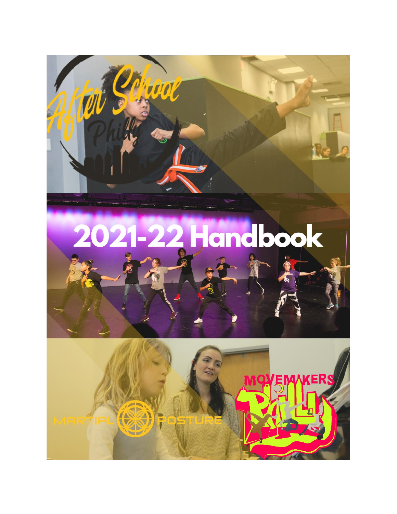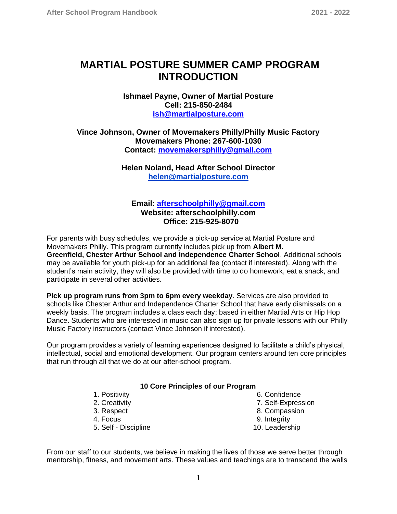# **MARTIAL POSTURE SUMMER CAMP PROGRAM INTRODUCTION**

### **Ishmael Payne, Owner of Martial Posture Cell: 215-850-2484 [ish@martialposture.com](mailto:ish@martialposture.com)**

## **Vince Johnson, Owner of Movemakers Philly/Philly Music Factory Movemakers Phone: 267-600-1030 Contact: [movemakersphilly@gmail.com](mailto:movemakersphilly@gmail.com)**

## **Helen Noland, Head After School Director helen@martialposture.com**

## **Email: [afterschoolphilly@gmail.com](mailto:afterschoolphilly@gmail.com) Website: afterschoolphilly.com Office: 215-925-8070**

For parents with busy schedules, we provide a pick-up service at Martial Posture and Movemakers Philly. This program currently includes pick up from **Albert M. Greenfield, Chester Arthur School and Independence Charter School**. Additional schools may be available for youth pick-up for an additional fee (contact if interested). Along with the student's main activity, they will also be provided with time to do homework, eat a snack, and participate in several other activities.

**Pick up program runs from 3pm to 6pm every weekday**. Services are also provided to schools like Chester Arthur and Independence Charter School that have early dismissals on a weekly basis. The program includes a class each day; based in either Martial Arts or Hip Hop Dance. Students who are interested in music can also sign up for private lessons with our Philly Music Factory instructors (contact Vince Johnson if interested).

Our program provides a variety of learning experiences designed to facilitate a child's physical, intellectual, social and emotional development. Our program centers around ten core principles that run through all that we do at our after-school program.

#### **10 Core Principles of our Program**

- 1. Positivity 6. Confidence
- 
- 
- 
- 5. Self Discipline 10. Leadership

2. Creativity 7. Self-Expression

- 8. Compassion
- 4. Focus 9. Integrity
	-

From our staff to our students, we believe in making the lives of those we serve better through mentorship, fitness, and movement arts. These values and teachings are to transcend the walls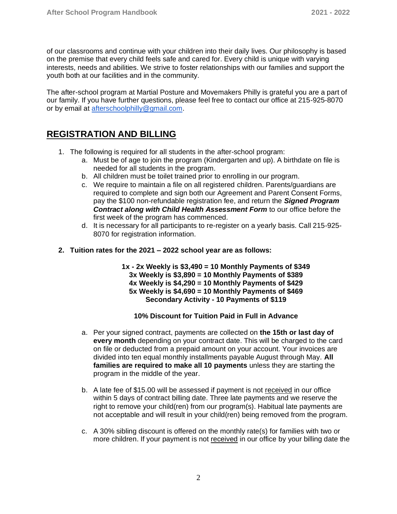of our classrooms and continue with your children into their daily lives. Our philosophy is based on the premise that every child feels safe and cared for. Every child is unique with varying interests, needs and abilities. We strive to foster relationships with our families and support the youth both at our facilities and in the community.

The after-school program at Martial Posture and Movemakers Philly is grateful you are a part of our family. If you have further questions, please feel free to contact our office at 215-925-8070 or by email at [afterschoolphilly@gmail.com.](mailto:afterschoolphilly@gmail.com)

# **REGISTRATION AND BILLING**

- 1. The following is required for all students in the after-school program:
	- a. Must be of age to join the program (Kindergarten and up). A birthdate on file is needed for all students in the program.
	- b. All children must be toilet trained prior to enrolling in our program.
	- c. We require to maintain a file on all registered children. Parents/guardians are required to complete and sign both our Agreement and Parent Consent Forms, pay the \$100 non-refundable registration fee, and return the *Signed Program Contract along with Child Health Assessment Form* to our office before the first week of the program has commenced.
	- d. It is necessary for all participants to re-register on a yearly basis. Call 215-925- 8070 for registration information.
- **2. Tuition rates for the 2021 – 2022 school year are as follows:**

**1x - 2x Weekly is \$3,490 = 10 Monthly Payments of \$349 3x Weekly is \$3,890 = 10 Monthly Payments of \$389 4x Weekly is \$4,290 = 10 Monthly Payments of \$429 5x Weekly is \$4,690 = 10 Monthly Payments of \$469 Secondary Activity - 10 Payments of \$119**

## **10% Discount for Tuition Paid in Full in Advance**

- a. Per your signed contract, payments are collected on **the 15th or last day of every month** depending on your contract date. This will be charged to the card on file or deducted from a prepaid amount on your account. Your invoices are divided into ten equal monthly installments payable August through May. **All families are required to make all 10 payments** unless they are starting the program in the middle of the year.
- b. A late fee of \$15.00 will be assessed if payment is not received in our office within 5 days of contract billing date. Three late payments and we reserve the right to remove your child(ren) from our program(s). Habitual late payments are not acceptable and will result in your child(ren) being removed from the program.
- c. A 30% sibling discount is offered on the monthly rate(s) for families with two or more children. If your payment is not received in our office by your billing date the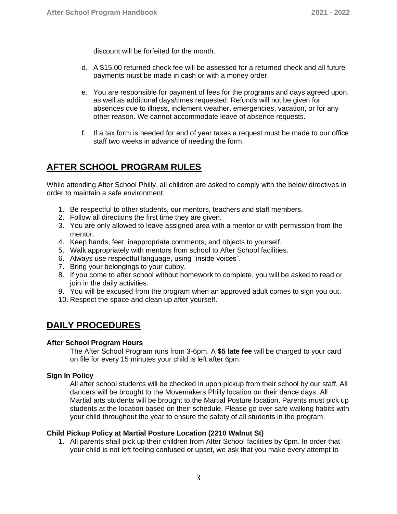discount will be forfeited for the month.

- d. A \$15.00 returned check fee will be assessed for a returned check and all future payments must be made in cash or with a money order.
- e. You are responsible for payment of fees for the programs and days agreed upon, as well as additional days/times requested. Refunds will not be given for absences due to illness, inclement weather, emergencies, vacation, or for any other reason. We cannot accommodate leave of absence requests.
- f. If a tax form is needed for end of year taxes a request must be made to our office staff two weeks in advance of needing the form.

# **AFTER SCHOOL PROGRAM RULES**

While attending After School Philly, all children are asked to comply with the below directives in order to maintain a safe environment.

- 1. Be respectful to other students, our mentors, teachers and staff members.
- 2. Follow all directions the first time they are given.
- 3. You are only allowed to leave assigned area with a mentor or with permission from the mentor.
- 4. Keep hands, feet, inappropriate comments, and objects to yourself.
- 5. Walk appropriately with mentors from school to After School facilities.
- 6. Always use respectful language, using "inside voices".
- 7. Bring your belongings to your cubby.
- 8. If you come to after school without homework to complete, you will be asked to read or join in the daily activities.
- 9. You will be excused from the program when an approved adult comes to sign you out.
- 10. Respect the space and clean up after yourself.

# **DAILY PROCEDURES**

#### **After School Program Hours**

The After School Program runs from 3-6pm. A **\$5 late fee** will be charged to your card on file for every 15 minutes your child is left after 6pm.

#### **Sign In Policy**

All after school students will be checked in upon pickup from their school by our staff. All dancers will be brought to the Movemakers Philly location on their dance days. All Martial arts students will be brought to the Martial Posture location. Parents must pick up students at the location based on their schedule. Please go over safe walking habits with your child throughout the year to ensure the safety of all students in the program.

#### **Child Pickup Policy at Martial Posture Location (2210 Walnut St)**

1. All parents shall pick up their children from After School facilities by 6pm. In order that your child is not left feeling confused or upset, we ask that you make every attempt to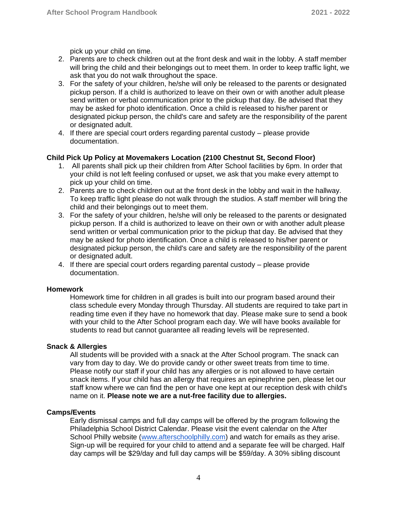pick up your child on time.

- 2. Parents are to check children out at the front desk and wait in the lobby. A staff member will bring the child and their belongings out to meet them. In order to keep traffic light, we ask that you do not walk throughout the space.
- 3. For the safety of your children, he/she will only be released to the parents or designated pickup person. If a child is authorized to leave on their own or with another adult please send written or verbal communication prior to the pickup that day. Be advised that they may be asked for photo identification. Once a child is released to his/her parent or designated pickup person, the child's care and safety are the responsibility of the parent or designated adult.
- 4. If there are special court orders regarding parental custody please provide documentation.

### **Child Pick Up Policy at Movemakers Location (2100 Chestnut St, Second Floor)**

- 1. All parents shall pick up their children from After School facilities by 6pm. In order that your child is not left feeling confused or upset, we ask that you make every attempt to pick up your child on time.
- 2. Parents are to check children out at the front desk in the lobby and wait in the hallway. To keep traffic light please do not walk through the studios. A staff member will bring the child and their belongings out to meet them.
- 3. For the safety of your children, he/she will only be released to the parents or designated pickup person. If a child is authorized to leave on their own or with another adult please send written or verbal communication prior to the pickup that day. Be advised that they may be asked for photo identification. Once a child is released to his/her parent or designated pickup person, the child's care and safety are the responsibility of the parent or designated adult.
- 4. If there are special court orders regarding parental custody please provide documentation.

#### **Homework**

Homework time for children in all grades is built into our program based around their class schedule every Monday through Thursday. All students are required to take part in reading time even if they have no homework that day. Please make sure to send a book with your child to the After School program each day. We will have books available for students to read but cannot guarantee all reading levels will be represented.

#### **Snack & Allergies**

All students will be provided with a snack at the After School program. The snack can vary from day to day. We do provide candy or other sweet treats from time to time. Please notify our staff if your child has any allergies or is not allowed to have certain snack items. If your child has an allergy that requires an epinephrine pen, please let our staff know where we can find the pen or have one kept at our reception desk with child's name on it. **Please note we are a nut-free facility due to allergies.**

#### **Camps/Events**

Early dismissal camps and full day camps will be offered by the program following the Philadelphia School District Calendar. Please visit the event calendar on the After School Philly website [\(www.afterschoolphilly.com\)](http://www.afterschoolphilly.com/) and watch for emails as they arise. Sign-up will be required for your child to attend and a separate fee will be charged. Half day camps will be \$29/day and full day camps will be \$59/day. A 30% sibling discount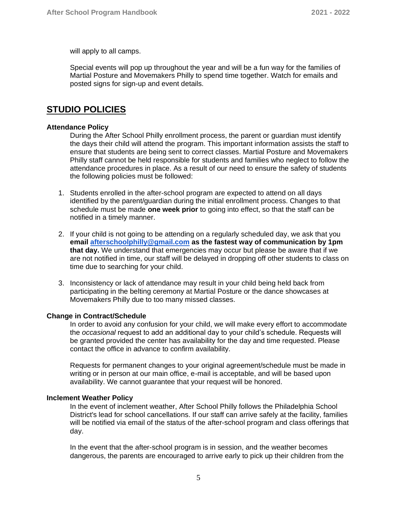will apply to all camps.

Special events will pop up throughout the year and will be a fun way for the families of Martial Posture and Movemakers Philly to spend time together. Watch for emails and posted signs for sign-up and event details.

# **STUDIO POLICIES**

#### **Attendance Policy**

During the After School Philly enrollment process, the parent or guardian must identify the days their child will attend the program. This important information assists the staff to ensure that students are being sent to correct classes. Martial Posture and Movemakers Philly staff cannot be held responsible for students and families who neglect to follow the attendance procedures in place. As a result of our need to ensure the safety of students the following policies must be followed:

- 1. Students enrolled in the after-school program are expected to attend on all days identified by the parent/guardian during the initial enrollment process. Changes to that schedule must be made **one week prior** to going into effect, so that the staff can be notified in a timely manner.
- 2. If your child is not going to be attending on a regularly scheduled day, we ask that you **email [afterschoolphilly@gmail.com](mailto:afterschoolphilly@gmail.com) as the fastest way of communication by 1pm that day.** We understand that emergencies may occur but please be aware that if we are not notified in time, our staff will be delayed in dropping off other students to class on time due to searching for your child.
- 3. Inconsistency or lack of attendance may result in your child being held back from participating in the belting ceremony at Martial Posture or the dance showcases at Movemakers Philly due to too many missed classes.

#### **Change in Contract/Schedule**

In order to avoid any confusion for your child, we will make every effort to accommodate the *occasional* request to add an additional day to your child's schedule. Requests will be granted provided the center has availability for the day and time requested. Please contact the office in advance to confirm availability.

Requests for permanent changes to your original agreement/schedule must be made in writing or in person at our main office, e-mail is acceptable, and will be based upon availability. We cannot guarantee that your request will be honored.

#### **Inclement Weather Policy**

In the event of inclement weather, After School Philly follows the Philadelphia School District's lead for school cancellations. If our staff can arrive safely at the facility, families will be notified via email of the status of the after-school program and class offerings that day.

In the event that the after-school program is in session, and the weather becomes dangerous, the parents are encouraged to arrive early to pick up their children from the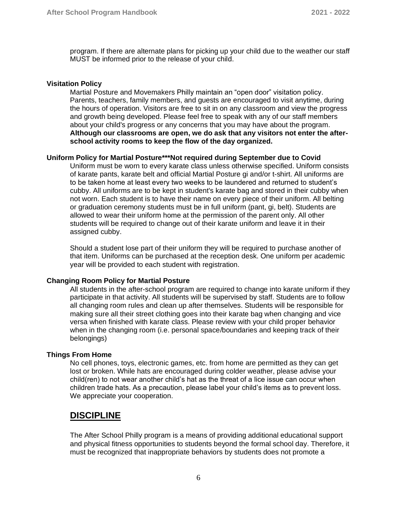program. If there are alternate plans for picking up your child due to the weather our staff MUST be informed prior to the release of your child.

#### **Visitation Policy**

Martial Posture and Movemakers Philly maintain an "open door" visitation policy. Parents, teachers, family members, and guests are encouraged to visit anytime, during the hours of operation. Visitors are free to sit in on any classroom and view the progress and growth being developed. Please feel free to speak with any of our staff members about your child's progress or any concerns that you may have about the program. **Although our classrooms are open, we do ask that any visitors not enter the afterschool activity rooms to keep the flow of the day organized.**

#### **Uniform Policy for Martial Posture\*\*\*Not required during September due to Covid**

Uniform must be worn to every karate class unless otherwise specified. Uniform consists of karate pants, karate belt and official Martial Posture gi and/or t-shirt. All uniforms are to be taken home at least every two weeks to be laundered and returned to student's cubby. All uniforms are to be kept in student's karate bag and stored in their cubby when not worn. Each student is to have their name on every piece of their uniform. All belting or graduation ceremony students must be in full uniform (pant, gi, belt). Students are allowed to wear their uniform home at the permission of the parent only. All other students will be required to change out of their karate uniform and leave it in their assigned cubby.

Should a student lose part of their uniform they will be required to purchase another of that item. Uniforms can be purchased at the reception desk. One uniform per academic year will be provided to each student with registration.

#### **Changing Room Policy for Martial Posture**

All students in the after-school program are required to change into karate uniform if they participate in that activity. All students will be supervised by staff. Students are to follow all changing room rules and clean up after themselves. Students will be responsible for making sure all their street clothing goes into their karate bag when changing and vice versa when finished with karate class. Please review with your child proper behavior when in the changing room (i.e. personal space/boundaries and keeping track of their belongings)

#### **Things From Home**

No cell phones, toys, electronic games, etc. from home are permitted as they can get lost or broken. While hats are encouraged during colder weather, please advise your child(ren) to not wear another child's hat as the threat of a lice issue can occur when children trade hats. As a precaution, please label your child's items as to prevent loss. We appreciate your cooperation.

# **DISCIPLINE**

The After School Philly program is a means of providing additional educational support and physical fitness opportunities to students beyond the formal school day. Therefore, it must be recognized that inappropriate behaviors by students does not promote a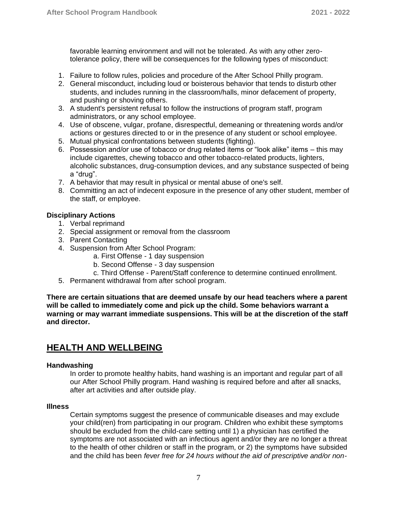favorable learning environment and will not be tolerated. As with any other zerotolerance policy, there will be consequences for the following types of misconduct:

- 1. Failure to follow rules, policies and procedure of the After School Philly program.
- 2. General misconduct, including loud or boisterous behavior that tends to disturb other students, and includes running in the classroom/halls, minor defacement of property, and pushing or shoving others.
- 3. A student's persistent refusal to follow the instructions of program staff, program administrators, or any school employee.
- 4. Use of obscene, vulgar, profane, disrespectful, demeaning or threatening words and/or actions or gestures directed to or in the presence of any student or school employee.
- 5. Mutual physical confrontations between students (fighting).
- 6. Possession and/or use of tobacco or drug related items or "look alike" items this may include cigarettes, chewing tobacco and other tobacco-related products, lighters, alcoholic substances, drug-consumption devices, and any substance suspected of being a "drug".
- 7. A behavior that may result in physical or mental abuse of one's self.
- 8. Committing an act of indecent exposure in the presence of any other student, member of the staff, or employee.

### **Disciplinary Actions**

- 1. Verbal reprimand
- 2. Special assignment or removal from the classroom
- 3. Parent Contacting
- 4. Suspension from After School Program:
	- a. First Offense 1 day suspension
	- b. Second Offense 3 day suspension
	- c. Third Offense Parent/Staff conference to determine continued enrollment.
- 5. Permanent withdrawal from after school program.

**There are certain situations that are deemed unsafe by our head teachers where a parent will be called to immediately come and pick up the child. Some behaviors warrant a warning or may warrant immediate suspensions. This will be at the discretion of the staff and director.**

# **HEALTH AND WELLBEING**

#### **Handwashing**

In order to promote healthy habits, hand washing is an important and regular part of all our After School Philly program. Hand washing is required before and after all snacks, after art activities and after outside play.

#### **Illness**

Certain symptoms suggest the presence of communicable diseases and may exclude your child(ren) from participating in our program. Children who exhibit these symptoms should be excluded from the child-care setting until 1) a physician has certified the symptoms are not associated with an infectious agent and/or they are no longer a threat to the health of other children or staff in the program, or 2) the symptoms have subsided and the child has been *fever free for 24 hours without the aid of prescriptive and/or non-*